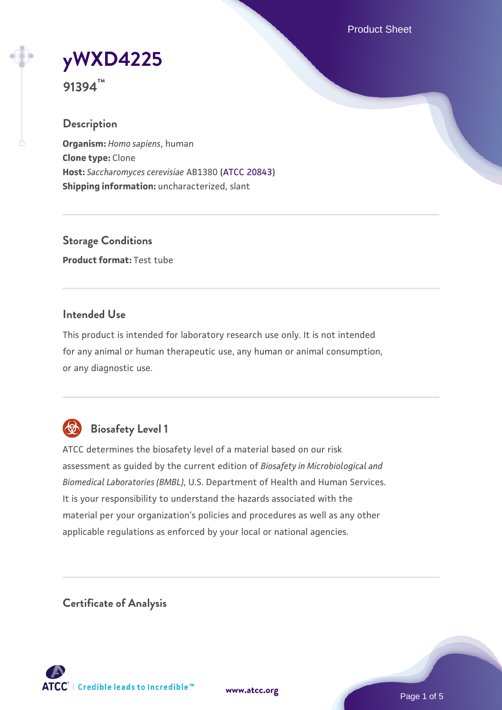Product Sheet

**[yWXD4225](https://www.atcc.org/products/91394)**

**91394™**

## **Description**

**Organism:** *Homo sapiens*, human **Clone type:** Clone **Host:** *Saccharomyces cerevisiae* AB1380 [\(ATCC 20843\)](https://www.atcc.org/products/20843) **Shipping information:** uncharacterized, slant

**Storage Conditions Product format:** Test tube

## **Intended Use**

This product is intended for laboratory research use only. It is not intended for any animal or human therapeutic use, any human or animal consumption, or any diagnostic use.



# **Biosafety Level 1**

ATCC determines the biosafety level of a material based on our risk assessment as guided by the current edition of *Biosafety in Microbiological and Biomedical Laboratories (BMBL)*, U.S. Department of Health and Human Services. It is your responsibility to understand the hazards associated with the material per your organization's policies and procedures as well as any other applicable regulations as enforced by your local or national agencies.

**Certificate of Analysis**

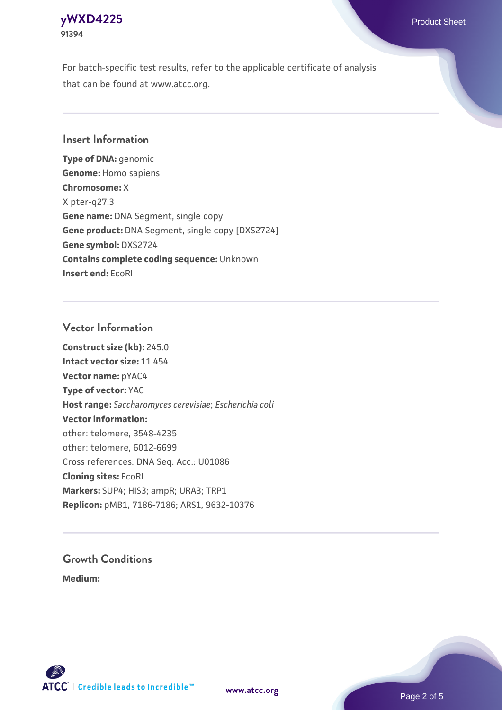## **[yWXD4225](https://www.atcc.org/products/91394)** Product Sheet **91394**

For batch-specific test results, refer to the applicable certificate of analysis that can be found at www.atcc.org.

## **Insert Information**

**Type of DNA:** genomic **Genome:** Homo sapiens **Chromosome:** X X pter-q27.3 **Gene name:** DNA Segment, single copy **Gene product:** DNA Segment, single copy [DXS2724] **Gene symbol:** DXS2724 **Contains complete coding sequence:** Unknown **Insert end:** EcoRI

## **Vector Information**

**Construct size (kb):** 245.0 **Intact vector size:** 11.454 **Vector name:** pYAC4 **Type of vector:** YAC **Host range:** *Saccharomyces cerevisiae*; *Escherichia coli* **Vector information:** other: telomere, 3548-4235 other: telomere, 6012-6699 Cross references: DNA Seq. Acc.: U01086 **Cloning sites:** EcoRI **Markers:** SUP4; HIS3; ampR; URA3; TRP1 **Replicon:** pMB1, 7186-7186; ARS1, 9632-10376

# **Growth Conditions**

**Medium:** 



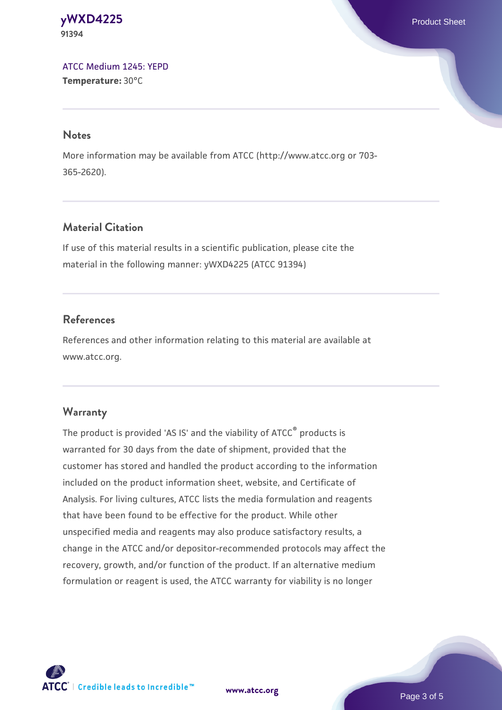#### **[yWXD4225](https://www.atcc.org/products/91394)** Product Sheet **91394**

[ATCC Medium 1245: YEPD](https://www.atcc.org/-/media/product-assets/documents/microbial-media-formulations/1/2/4/5/atcc-medium-1245.pdf?rev=705ca55d1b6f490a808a965d5c072196) **Temperature:** 30°C

#### **Notes**

More information may be available from ATCC (http://www.atcc.org or 703- 365-2620).

# **Material Citation**

If use of this material results in a scientific publication, please cite the material in the following manner: yWXD4225 (ATCC 91394)

# **References**

References and other information relating to this material are available at www.atcc.org.

# **Warranty**

The product is provided 'AS IS' and the viability of ATCC® products is warranted for 30 days from the date of shipment, provided that the customer has stored and handled the product according to the information included on the product information sheet, website, and Certificate of Analysis. For living cultures, ATCC lists the media formulation and reagents that have been found to be effective for the product. While other unspecified media and reagents may also produce satisfactory results, a change in the ATCC and/or depositor-recommended protocols may affect the recovery, growth, and/or function of the product. If an alternative medium formulation or reagent is used, the ATCC warranty for viability is no longer



**[www.atcc.org](http://www.atcc.org)**

Page 3 of 5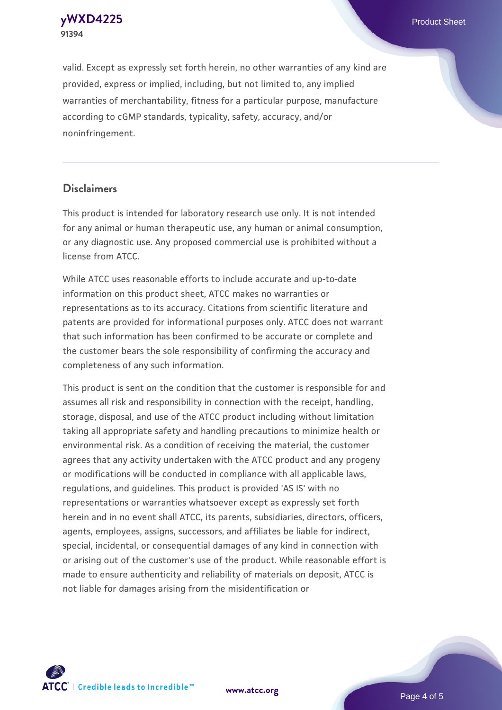**[yWXD4225](https://www.atcc.org/products/91394)** Product Sheet **91394**

valid. Except as expressly set forth herein, no other warranties of any kind are provided, express or implied, including, but not limited to, any implied warranties of merchantability, fitness for a particular purpose, manufacture according to cGMP standards, typicality, safety, accuracy, and/or noninfringement.

#### **Disclaimers**

This product is intended for laboratory research use only. It is not intended for any animal or human therapeutic use, any human or animal consumption, or any diagnostic use. Any proposed commercial use is prohibited without a license from ATCC.

While ATCC uses reasonable efforts to include accurate and up-to-date information on this product sheet, ATCC makes no warranties or representations as to its accuracy. Citations from scientific literature and patents are provided for informational purposes only. ATCC does not warrant that such information has been confirmed to be accurate or complete and the customer bears the sole responsibility of confirming the accuracy and completeness of any such information.

This product is sent on the condition that the customer is responsible for and assumes all risk and responsibility in connection with the receipt, handling, storage, disposal, and use of the ATCC product including without limitation taking all appropriate safety and handling precautions to minimize health or environmental risk. As a condition of receiving the material, the customer agrees that any activity undertaken with the ATCC product and any progeny or modifications will be conducted in compliance with all applicable laws, regulations, and guidelines. This product is provided 'AS IS' with no representations or warranties whatsoever except as expressly set forth herein and in no event shall ATCC, its parents, subsidiaries, directors, officers, agents, employees, assigns, successors, and affiliates be liable for indirect, special, incidental, or consequential damages of any kind in connection with or arising out of the customer's use of the product. While reasonable effort is made to ensure authenticity and reliability of materials on deposit, ATCC is not liable for damages arising from the misidentification or



**[www.atcc.org](http://www.atcc.org)**

Page 4 of 5